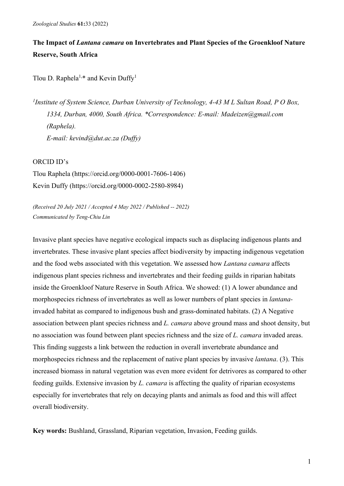# **The Impact of** *Lantana camara* **on Invertebrates and Plant Species of the Groenkloof Nature Reserve, South Africa**

Tlou D. Raphela<sup>1,\*</sup> and Kevin Duffy<sup>1</sup>

*1Institute of System Science, Durban University of Technology, 4-43 M L Sultan Road, P O Box, 1334, Durban, 4000, South Africa. \*Correspondence: E-mail: Madeizen@gmail.com (Raphela). E-mail: kevind@dut.ac.za (Duffy)* 

## ORCID ID's

Tlou Raphela (https://orcid.org/0000-0001-7606-1406) Kevin Duffy (https://orcid.org/0000-0002-2580-8984)

*(Received 20 July 2021 / Accepted 4 May 2022 / Published -- 2022) Communicated by Teng-Chiu Lin*

Invasive plant species have negative ecological impacts such as displacing indigenous plants and invertebrates. These invasive plant species affect biodiversity by impacting indigenous vegetation and the food webs associated with this vegetation. We assessed how *Lantana camara* affects indigenous plant species richness and invertebrates and their feeding guilds in riparian habitats inside the Groenkloof Nature Reserve in South Africa. We showed: (1) A lower abundance and morphospecies richness of invertebrates as well as lower numbers of plant species in *lantana*invaded habitat as compared to indigenous bush and grass-dominated habitats. (2) A Negative association between plant species richness and *L. camara* above ground mass and shoot density, but no association was found between plant species richness and the size of *L. camara* invaded areas. This finding suggests a link between the reduction in overall invertebrate abundance and morphospecies richness and the replacement of native plant species by invasive *lantana*. (3). This increased biomass in natural vegetation was even more evident for detrivores as compared to other feeding guilds. Extensive invasion by *L. camara* is affecting the quality of riparian ecosystems especially for invertebrates that rely on decaying plants and animals as food and this will affect overall biodiversity.

**Key words:** Bushland, Grassland, Riparian vegetation, Invasion, Feeding guilds.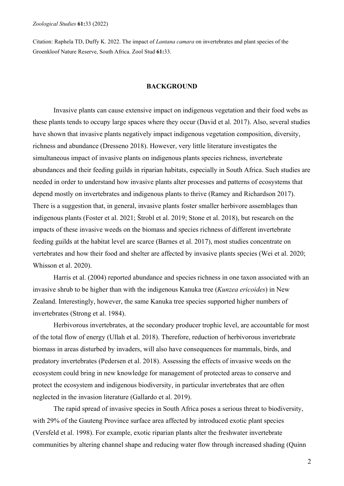Citation: Raphela TD, Duffy K. 2022. The impact of *Lantana camara* on invertebrates and plant species of the Groenkloof Nature Reserve, South Africa. Zool Stud **61:**33.

## **BACKGROUND**

Invasive plants can cause extensive impact on indigenous vegetation and their food webs as these plants tends to occupy large spaces where they occur (David et al. 2017). Also, several studies have shown that invasive plants negatively impact indigenous vegetation composition, diversity, richness and abundance (Dresseno 2018). However, very little literature investigates the simultaneous impact of invasive plants on indigenous plants species richness, invertebrate abundances and their feeding guilds in riparian habitats, especially in South Africa. Such studies are needed in order to understand how invasive plants alter processes and patterns of ecosystems that depend mostly on invertebrates and indigenous plants to thrive (Ramey and Richardson 2017). There is a suggestion that, in general, invasive plants foster smaller herbivore assemblages than indigenous plants (Foster et al. 2021; Štrobl et al. 2019; Stone et al. 2018), but research on the impacts of these invasive weeds on the biomass and species richness of different invertebrate feeding guilds at the habitat level are scarce (Barnes et al. 2017), most studies concentrate on vertebrates and how their food and shelter are affected by invasive plants species (Wei et al. 2020; Whisson et al. 2020).

Harris et al. (2004) reported abundance and species richness in one taxon associated with an invasive shrub to be higher than with the indigenous Kanuka tree (*Kunzea ericoides*) in New Zealand. Interestingly, however, the same Kanuka tree species supported higher numbers of invertebrates (Strong et al. 1984).

Herbivorous invertebrates, at the secondary producer trophic level, are accountable for most of the total flow of energy (Ullah et al. 2018). Therefore, reduction of herbivorous invertebrate biomass in areas disturbed by invaders, will also have consequences for mammals, birds, and predatory invertebrates (Pedersen et al. 2018). Assessing the effects of invasive weeds on the ecosystem could bring in new knowledge for management of protected areas to conserve and protect the ecosystem and indigenous biodiversity, in particular invertebrates that are often neglected in the invasion literature (Gallardo et al. 2019).

The rapid spread of invasive species in South Africa poses a serious threat to biodiversity, with 29% of the Gauteng Province surface area affected by introduced exotic plant species (Versfeld et al. 1998). For example, exotic riparian plants alter the freshwater invertebrate communities by altering channel shape and reducing water flow through increased shading (Quinn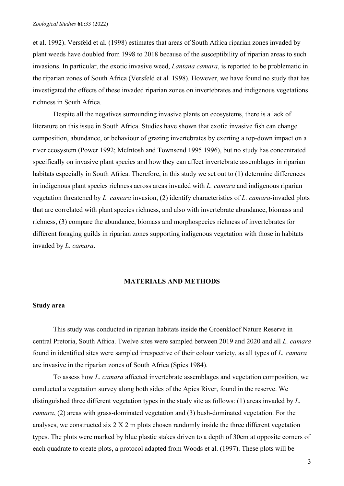et al. 1992). Versfeld et al. (1998) estimates that areas of South Africa riparian zones invaded by plant weeds have doubled from 1998 to 2018 because of the susceptibility of riparian areas to such invasions. In particular, the exotic invasive weed, *Lantana camara*, is reported to be problematic in the riparian zones of South Africa (Versfeld et al. 1998). However, we have found no study that has investigated the effects of these invaded riparian zones on invertebrates and indigenous vegetations richness in South Africa.

Despite all the negatives surrounding invasive plants on ecosystems, there is a lack of literature on this issue in South Africa. Studies have shown that exotic invasive fish can change composition, abundance, or behaviour of grazing invertebrates by exerting a top-down impact on a river ecosystem (Power 1992; McIntosh and Townsend 1995 1996), but no study has concentrated specifically on invasive plant species and how they can affect invertebrate assemblages in riparian habitats especially in South Africa. Therefore, in this study we set out to (1) determine differences in indigenous plant species richness across areas invaded with *L. camara* and indigenous riparian vegetation threatened by *L. camara* invasion, (2) identify characteristics of *L. camara*-invaded plots that are correlated with plant species richness, and also with invertebrate abundance, biomass and richness, (3) compare the abundance, biomass and morphospecies richness of invertebrates for different foraging guilds in riparian zones supporting indigenous vegetation with those in habitats invaded by *L. camara*.

## **MATERIALS AND METHODS**

## **Study area**

This study was conducted in riparian habitats inside the Groenkloof Nature Reserve in central Pretoria, South Africa. Twelve sites were sampled between 2019 and 2020 and all *L. camara* found in identified sites were sampled irrespective of their colour variety, as all types of *L. camara* are invasive in the riparian zones of South Africa (Spies 1984).

To assess how *L. camara* affected invertebrate assemblages and vegetation composition, we conducted a vegetation survey along both sides of the Apies River, found in the reserve. We distinguished three different vegetation types in the study site as follows: (1) areas invaded by *L. camara*, (2) areas with grass-dominated vegetation and (3) bush-dominated vegetation. For the analyses, we constructed six 2 X 2 m plots chosen randomly inside the three different vegetation types. The plots were marked by blue plastic stakes driven to a depth of 30cm at opposite corners of each quadrate to create plots, a protocol adapted from Woods et al. (1997). These plots will be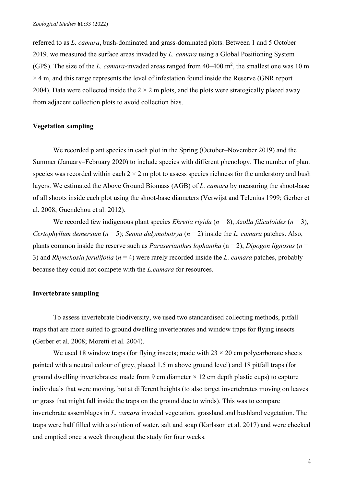referred to as *L. camara*, bush-dominated and grass-dominated plots. Between 1 and 5 October 2019, we measured the surface areas invaded by *L. camara* using a Global Positioning System (GPS). The size of the *L. camara*-invaded areas ranged from 40–400 m<sup>2</sup>, the smallest one was 10 m  $\times$  4 m, and this range represents the level of infestation found inside the Reserve (GNR report 2004). Data were collected inside the  $2 \times 2$  m plots, and the plots were strategically placed away from adjacent collection plots to avoid collection bias.

## **Vegetation sampling**

We recorded plant species in each plot in the Spring (October–November 2019) and the Summer (January–February 2020) to include species with different phenology. The number of plant species was recorded within each  $2 \times 2$  m plot to assess species richness for the understory and bush layers. We estimated the Above Ground Biomass (AGB) of *L. camara* by measuring the shoot-base of all shoots inside each plot using the shoot-base diameters (Verwijst and Telenius 1999; Gerber et al. 2008; Guendehou et al. 2012).

We recorded few indigenous plant species *Ehretia rigida* (*n* = 8), *Azolla filiculoides* (*n* = 3), *Certophyllum demersum* (*n* = 5); *Senna didymobotrya* (*n* = 2) inside the *L. camara* patches. Also, plants common inside the reserve such as *Paraserianthes lophantha*  $(n = 2)$ ; *Dipogon lignosus*  $(n = 1)$ 3) and *Rhynchosia ferulifolia* (*n* = 4) were rarely recorded inside the *L. camara* patches, probably because they could not compete with the *L.camara* for resources.

## **Invertebrate sampling**

To assess invertebrate biodiversity, we used two standardised collecting methods, pitfall traps that are more suited to ground dwelling invertebrates and window traps for flying insects (Gerber et al. 2008; Moretti et al. 2004).

We used 18 window traps (for flying insects; made with  $23 \times 20$  cm polycarbonate sheets painted with a neutral colour of grey, placed 1.5 m above ground level) and 18 pitfall traps (for ground dwelling invertebrates; made from 9 cm diameter  $\times$  12 cm depth plastic cups) to capture individuals that were moving, but at different heights (to also target invertebrates moving on leaves or grass that might fall inside the traps on the ground due to winds). This was to compare invertebrate assemblages in *L. camara* invaded vegetation, grassland and bushland vegetation. The traps were half filled with a solution of water, salt and soap (Karlsson et al. 2017) and were checked and emptied once a week throughout the study for four weeks.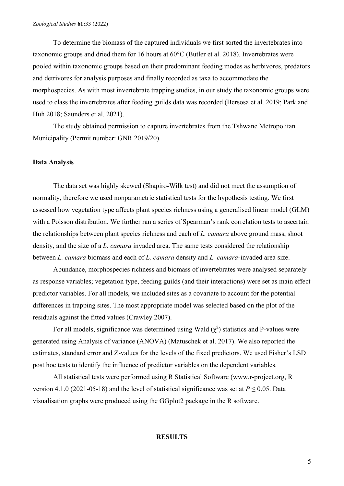To determine the biomass of the captured individuals we first sorted the invertebrates into taxonomic groups and dried them for 16 hours at 60°C (Butler et al. 2018). Invertebrates were pooled within taxonomic groups based on their predominant feeding modes as herbivores, predators and detrivores for analysis purposes and finally recorded as taxa to accommodate the morphospecies. As with most invertebrate trapping studies, in our study the taxonomic groups were used to class the invertebrates after feeding guilds data was recorded (Bersosa et al. 2019; Park and Huh 2018; Saunders et al. 2021).

The study obtained permission to capture invertebrates from the Tshwane Metropolitan Municipality (Permit number: GNR 2019/20).

#### **Data Analysis**

The data set was highly skewed (Shapiro-Wilk test) and did not meet the assumption of normality, therefore we used nonparametric statistical tests for the hypothesis testing. We first assessed how vegetation type affects plant species richness using a generalised linear model (GLM) with a Poisson distribution. We further ran a series of Spearman's rank correlation tests to ascertain the relationships between plant species richness and each of *L. camara* above ground mass, shoot density, and the size of a *L. camara* invaded area. The same tests considered the relationship between *L. camara* biomass and each of *L. camara* density and *L. camara*-invaded area size.

Abundance, morphospecies richness and biomass of invertebrates were analysed separately as response variables; vegetation type, feeding guilds (and their interactions) were set as main effect predictor variables. For all models, we included sites as a covariate to account for the potential differences in trapping sites. The most appropriate model was selected based on the plot of the residuals against the fitted values (Crawley 2007).

For all models, significance was determined using Wald  $(\chi^2)$  statistics and P-values were generated using Analysis of variance (ANOVA) (Matuschek et al. 2017). We also reported the estimates, standard error and Z-values for the levels of the fixed predictors. We used Fisher's LSD post hoc tests to identify the influence of predictor variables on the dependent variables.

All statistical tests were performed using R Statistical Software (www.r-project.org, R version 4.1.0 (2021-05-18) and the level of statistical significance was set at  $P \le 0.05$ . Data visualisation graphs were produced using the GGplot2 package in the R software.

#### **RESULTS**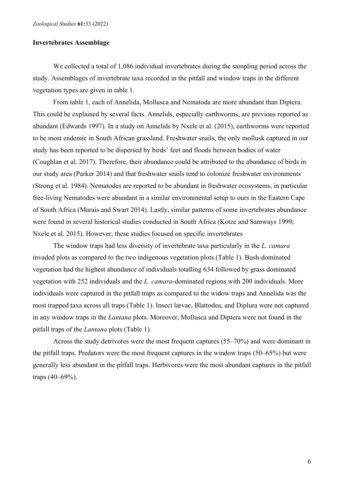## **Invertebrates Assemblage**

We collected a total of 1,086 individual invertebrates during the sampling period across the study. Assemblages of invertebrate taxa recorded in the pitfall and window traps in the different vegetation types are given in table 1.

From table 1, each of Annelida, Mollusca and Nematoda are more abundant than Diptera. This could be explained by several facts. Annelids, especially earthworms, are previous reported as abundant (Edwards 1997). In a study on Annelids by Nxele et al. (2015), earthworms were reported to be most endemic in South African grassland. Freshwater snails, the only mollusk captured in our study has been reported to be dispersed by birds' feet and floods between bodies of water (Coughlan et al. 2017). Therefore, their abundance could be attributed to the abundance of birds in our study area (Parker 2014) and that freshwater snails tend to colonize freshwater environments (Strong et al. 1984). Nematodes are reported to be abundant in freshwater ecosystems, in particular free-living Nematodes were abundant in a similar environmental setup to ours in the Eastern Cape of South Africa (Marais and Swart 2014). Lastly, similar patterns of some invertebrates abundance were found in several historical studies conducted in South Africa (Kotze and Samways 1999; Nxele et al. 2015). However, these studies focused on specific invertebrates

The window traps had less diversity of invertebrate taxa particularly in the *L. camara* invaded plots as compared to the two indigenous vegetation plots (Table 1). Bush-dominated vegetation had the highest abundance of individuals totalling 634 followed by grass dominated vegetation with 252 individuals and the *L. camara*-dominated regions with 200 individuals. More individuals were captured in the pitfall traps as compared to the widow traps and Annelida was the most trapped taxa across all traps (Table 1). Insect larvae, Blattodea, and Diplura were not captured in any window traps in the *Lantana* plots. Moreover, Mollusca and Diptera were not found in the pitfall traps of the *Lantana* plots (Table 1).

Across the study detrivores were the most frequent captures (55–70%) and were dominant in the pitfall traps. Predators were the most frequent captures in the window traps (50–65%) but were generally less abundant in the pitfall traps. Herbivores were the most abundant captures in the pitfall traps (40–69%).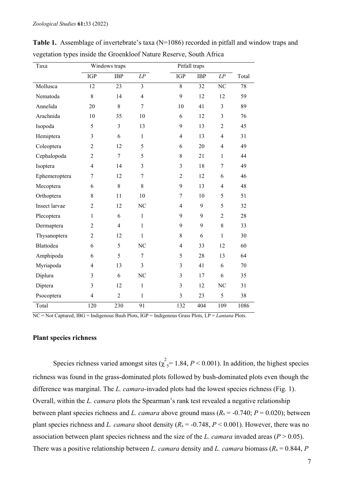| Taxa          | Windows traps  |                | Pitfall traps  |                         |            |                |       |
|---------------|----------------|----------------|----------------|-------------------------|------------|----------------|-------|
|               | <b>IGP</b>     | <b>IBP</b>     | ${\cal LP}$    | <b>IGP</b>              | <b>IBP</b> | LP             | Total |
| Mollusca      | 12             | 23             | $\overline{3}$ | $\overline{8}$          | 32         | NC             | 78    |
| Nematoda      | 8              | 14             | $\overline{4}$ | 9                       | 12         | 12             | 59    |
| Annelida      | 20             | 8              | 7              | 10                      | 41         | 3              | 89    |
| Arachnida     | 10             | 35             | 10             | 6                       | 12         | 3              | 76    |
| Isopoda       | 5              | $\overline{3}$ | 13             | 9                       | 13         | $\overline{2}$ | 45    |
| Hemiptera     | 3              | 6              | $\mathbf{1}$   | $\overline{4}$          | 13         | $\overline{4}$ | 31    |
| Coleoptera    | $\overline{c}$ | 12             | 5              | 6                       | 20         | 4              | 49    |
| Cephalopoda   | $\overline{c}$ | 7              | 5              | $8\,$                   | 21         | $\mathbf{1}$   | 44    |
| Isoptera      | $\overline{4}$ | 14             | 3              | $\overline{3}$          | 18         | 7              | 49    |
| Ephemeroptera | 7              | 12             | 7              | $\overline{2}$          | 12         | 6              | 46    |
| Mecoptera     | 6              | 8              | 8              | 9                       | 13         | 4              | 48    |
| Orthoptera    | 8              | 11             | 10             | 7                       | 10         | 5              | 51    |
| Insect larvae | $\overline{c}$ | 12             | NC             | $\overline{4}$          | 9          | 5              | 32    |
| Plecoptera    | $\mathbf{1}$   | 6              | $\mathbf{1}$   | 9                       | 9          | $\overline{2}$ | 28    |
| Dermaptera    | $\overline{c}$ | $\overline{4}$ | $\mathbf{1}$   | 9                       | 9          | 8              | 33    |
| Thysanoptera  | $\overline{2}$ | 12             | $\mathbf{1}$   | 8                       | 6          | $\mathbf{1}$   | 30    |
| Blattodea     | 6              | 5              | NC             | $\overline{4}$          | 33         | 12             | 60    |
| Amphipoda     | 6              | 5              | 7              | 5                       | 28         | 13             | 64    |
| Myriapoda     | $\overline{4}$ | 13             | $\overline{3}$ | $\overline{\mathbf{3}}$ | 41         | 6              | 70    |
| Diplura       | 3              | 6              | NC             | 3                       | 17         | 6              | 35    |
| Diptera       | 3              | 12             | $\mathbf{1}$   | $\overline{3}$          | 12         | NC             | 31    |
| Psocoptera    | $\overline{4}$ | $\overline{2}$ | $\mathbf{1}$   | 3                       | 23         | 5              | 38    |
| Total         | 120            | 230            | 91             | 132                     | 404        | 109            | 1086  |

**Table 1.** Assemblage of invertebrate's taxa (N=1086) recorded in pitfall and window traps and vegetation types inside the Groenkloof Nature Reserve, South Africa

NC = Not Captured, IBG = Indigenous Bush Plots, IGP = Indigenous Grass Plots, LP = *Lantana* Plots.

## **Plant species richness**

Species richness varied amongst sites  $(\chi^2_{5} = 1.84, P \le 0.001)$ . In addition, the highest species richness was found in the grass-dominated plots followed by bush-dominated plots even though the difference was marginal. The *L. camara*-invaded plots had the lowest species richness (Fig. 1). Overall, within the *L. camara* plots the Spearman's rank test revealed a negative relationship between plant species richness and *L. camara* above ground mass (*R*<sup>s</sup> = -0.740; *P* = 0.020); between plant species richness and *L. camara* shoot density  $(R_s = -0.748, P \le 0.001)$ . However, there was no association between plant species richness and the size of the *L. camara* invaded areas ( $P > 0.05$ ). There was a positive relationship between *L. camara* density and *L. camara* biomass (*R*<sup>s</sup> = 0.844, *P*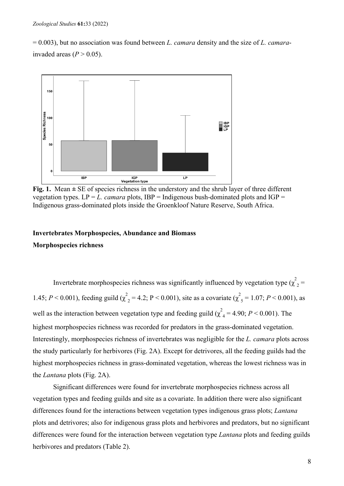= 0.003), but no association was found between *L. camara* density and the size of *L. camara*invaded areas  $(P > 0.05)$ .



**Fig. 1.** Mean *±* SE of species richness in the understory and the shrub layer of three different vegetation types.  $LP = L$ . *camara* plots,  $IBP = Indigenous bush-dominated plots and  $IGP =$$ Indigenous grass-dominated plots inside the Groenkloof Nature Reserve, South Africa.

## **Invertebrates Morphospecies, Abundance and Biomass**

## **Morphospecies richness**

Invertebrate morphospecies richness was significantly influenced by vegetation type  $(\chi^2)^2$ 1.45;  $P < 0.001$ ), feeding guild ( $\chi^2 = 4.2$ ; P < 0.001), site as a covariate ( $\chi^2 = 1.07$ ; P < 0.001), as well as the interaction between vegetation type and feeding guild ( $\chi^2 = 4.90$ ;  $P < 0.001$ ). The highest morphospecies richness was recorded for predators in the grass-dominated vegetation. Interestingly, morphospecies richness of invertebrates was negligible for the *L. camara* plots across the study particularly for herbivores (Fig. 2A). Except for detrivores, all the feeding guilds had the highest morphospecies richness in grass-dominated vegetation, whereas the lowest richness was in the *Lantana* plots (Fig. 2A).

Significant differences were found for invertebrate morphospecies richness across all vegetation types and feeding guilds and site as a covariate. In addition there were also significant differences found for the interactions between vegetation types indigenous grass plots; *Lantana* plots and detrivores; also for indigenous grass plots and herbivores and predators, but no significant differences were found for the interaction between vegetation type *Lantana* plots and feeding guilds herbivores and predators (Table 2).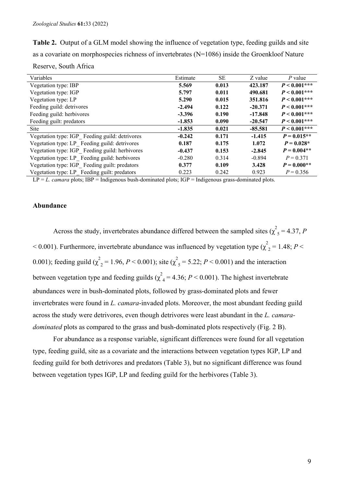**Table 2.** Output of a GLM model showing the influence of vegetation type, feeding guilds and site as a covariate on morphospecies richness of invertebrates (N=1086) inside the Groenkloof Nature

| Reserve, South Africa |
|-----------------------|
| $T = 11$              |

| Variables                                      | Estimate | SE    | Z value   | $P$ value      |
|------------------------------------------------|----------|-------|-----------|----------------|
| Vegetation type: IBP                           | 5.569    | 0.013 | 423.187   | $P < 0.001***$ |
| Vegetation type: IGP                           | 5.797    | 0.011 | 490.681   | $P < 0.001***$ |
| Vegetation type: LP                            | 5.290    | 0.015 | 351.816   | $P < 0.001***$ |
| Feeding guild: detrivores                      | $-2.494$ | 0.122 | $-20.371$ | $P < 0.001***$ |
| Feeding guild: herbivores                      | $-3.396$ | 0.190 | $-17.848$ | $P < 0.001***$ |
| Feeding guilt: predators                       | $-1.853$ | 0.090 | $-20.547$ | $P < 0.001***$ |
| Site                                           | $-1.835$ | 0.021 | $-85.581$ | $P < 0.001***$ |
| Vegetation type: IGP Feeding guild: detrivores | $-0.242$ | 0.171 | $-1.415$  | $P = 0.015**$  |
| Vegetation type: LP Feeding guild: detrivores  | 0.187    | 0.175 | 1.072     | $P = 0.028*$   |
| Vegetation type: IGP Feeding guild: herbivores | $-0.437$ | 0.153 | $-2.845$  | $P = 0.004**$  |
| Vegetation type: LP Feeding guild: herbivores  | $-0.280$ | 0.314 | $-0.894$  | $P = 0.371$    |
| Vegetation type: IGP Feeding guilt: predators  | 0.377    | 0.109 | 3.428     | $P = 0.000**$  |
| Vegetation type: LP Feeding guilt: predators   | 0.223    | 0.242 | 0.923     | $P = 0.356$    |

 $LP = L$ . *camara* plots; IBP = Indigenous bush-dominated plots; IGP = Indigenous grass-dominated plots.

## **Abundance**

Across the study, invertebrates abundance differed between the sampled sites ( $\chi^2$ <sub>5</sub> = 4.37, *P*  $\leq$  0.001). Furthermore, invertebrate abundance was influenced by vegetation type ( $\chi^2$ <sub>2</sub> = 1.48; *P*  $\leq$ 0.001); feeding guild ( $\chi^2 = 1.96$ , *P* < 0.001); site ( $\chi^2 = 5.22$ ; *P* < 0.001) and the interaction between vegetation type and feeding guilds  $(\chi^2_{4} = 4.36; P \le 0.001)$ . The highest invertebrate abundances were in bush-dominated plots, followed by grass-dominated plots and fewer invertebrates were found in *L. camara*-invaded plots. Moreover, the most abundant feeding guild across the study were detrivores, even though detrivores were least abundant in the *L. camaradominated* plots as compared to the grass and bush-dominated plots respectively (Fig. 2 B).

For abundance as a response variable, significant differences were found for all vegetation type, feeding guild, site as a covariate and the interactions between vegetation types IGP, LP and feeding guild for both detrivores and predators (Table 3), but no significant difference was found between vegetation types IGP, LP and feeding guild for the herbivores (Table 3).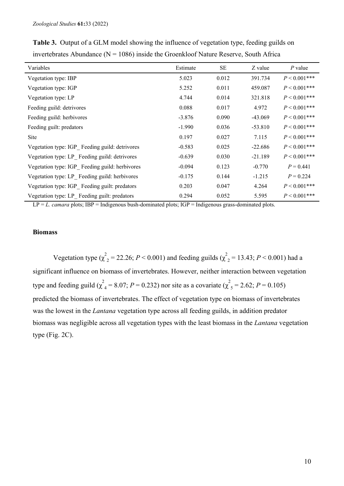| Variables                                      | Estimate | <b>SE</b> | Z value   | $P$ value       |
|------------------------------------------------|----------|-----------|-----------|-----------------|
| Vegetation type: IBP                           | 5.023    | 0.012     | 391.734   | $P < 0.001$ *** |
| Vegetation type: IGP                           | 5.252    | 0.011     | 459.087   | $P < 0.001$ *** |
| Vegetation type: LP                            | 4.744    | 0.014     | 321.818   | $P < 0.001$ *** |
| Feeding guild: detrivores                      | 0.088    | 0.017     | 4.972     | $P < 0.001$ *** |
| Feeding guild: herbivores                      | $-3.876$ | 0.090     | $-43.069$ | $P < 0.001$ *** |
| Feeding guilt: predators                       | $-1.990$ | 0.036     | $-53.810$ | $P < 0.001$ *** |
| Site                                           | 0.197    | 0.027     | 7.115     | $P < 0.001$ *** |
| Vegetation type: IGP Feeding guild: detrivores | $-0.583$ | 0.025     | $-22.686$ | $P < 0.001$ *** |
| Vegetation type: LP Feeding guild: detrivores  | $-0.639$ | 0.030     | $-21.189$ | $P < 0.001$ *** |
| Vegetation type: IGP Feeding guild: herbivores | $-0.094$ | 0.123     | $-0.770$  | $P = 0.441$     |
| Vegetation type: LP Feeding guild: herbivores  | $-0.175$ | 0.144     | $-1.215$  | $P = 0.224$     |
| Vegetation type: IGP Feeding guilt: predators  | 0.203    | 0.047     | 4.264     | $P < 0.001$ *** |
| Vegetation type: LP Feeding guilt: predators   | 0.294    | 0.052     | 5.595     | $P < 0.001$ *** |

**Table 3.** Output of a GLM model showing the influence of vegetation type, feeding guilds on invertebrates Abundance ( $N = 1086$ ) inside the Groenkloof Nature Reserve, South Africa

LP = *L. camara* plots; IBP = Indigenous bush-dominated plots; IGP = Indigenous grass-dominated plots.

## **Biomass**

Vegetation type ( $\chi^2 = 22.26$ ;  $P < 0.001$ ) and feeding guilds ( $\chi^2 = 13.43$ ;  $P < 0.001$ ) had a significant influence on biomass of invertebrates. However, neither interaction between vegetation type and feeding guild ( $\chi^2 = 8.07$ ; *P* = 0.232) nor site as a covariate ( $\chi^2 = 2.62$ ; *P* = 0.105) predicted the biomass of invertebrates. The effect of vegetation type on biomass of invertebrates was the lowest in the *Lantana* vegetation type across all feeding guilds, in addition predator biomass was negligible across all vegetation types with the least biomass in the *Lantana* vegetation type (Fig. 2C).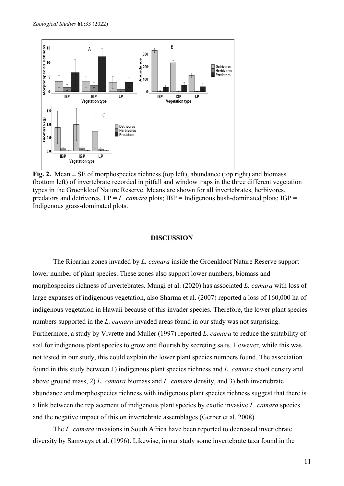

**Fig. 2.** Mean *±* SE of morphospecies richness (top left), abundance (top right) and biomass (bottom left) of invertebrate recorded in pitfall and window traps in the three different vegetation types in the Groenkloof Nature Reserve. Means are shown for all invertebrates, herbivores, predators and detrivores.  $LP = L$ . *camara* plots;  $IBP = Indigenous bush-dominated plots$ ;  $IGP =$ Indigenous grass-dominated plots.

#### **DISCUSSION**

The Riparian zones invaded by *L. camara* inside the Groenkloof Nature Reserve support lower number of plant species. These zones also support lower numbers, biomass and morphospecies richness of invertebrates. Mungi et al. (2020) has associated *L. camara* with loss of large expanses of indigenous vegetation, also Sharma et al. (2007) reported a loss of 160,000 ha of indigenous vegetation in Hawaii because of this invader species. Therefore, the lower plant species numbers supported in the *L. camara* invaded areas found in our study was not surprising. Furthermore, a study by Vivrette and Muller (1997) reported *L. camara* to reduce the suitability of soil for indigenous plant species to grow and flourish by secreting salts. However, while this was not tested in our study, this could explain the lower plant species numbers found. The association found in this study between 1) indigenous plant species richness and *L. camara* shoot density and above ground mass, 2) *L. camara* biomass and *L. camara* density, and 3) both invertebrate abundance and morphospecies richness with indigenous plant species richness suggest that there is a link between the replacement of indigenous plant species by exotic invasive *L. camara* species and the negative impact of this on invertebrate assemblages (Gerber et al. 2008).

The *L. camara* invasions in South Africa have been reported to decreased invertebrate diversity by Samways et al. (1996). Likewise, in our study some invertebrate taxa found in the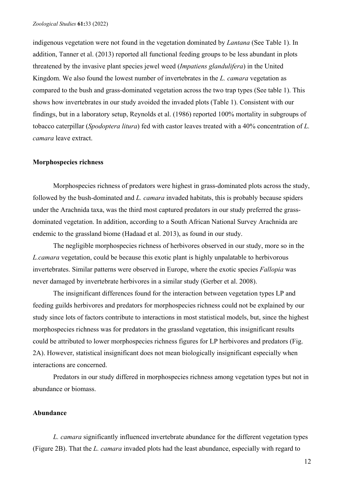indigenous vegetation were not found in the vegetation dominated by *Lantana* (See Table 1). In addition, Tanner et al. (2013) reported all functional feeding groups to be less abundant in plots threatened by the invasive plant species jewel weed (*Impatiens glandulifera*) in the United Kingdom. We also found the lowest number of invertebrates in the *L. camara* vegetation as compared to the bush and grass-dominated vegetation across the two trap types (See table 1). This shows how invertebrates in our study avoided the invaded plots (Table 1). Consistent with our findings, but in a laboratory setup, Reynolds et al. (1986) reported 100% mortality in subgroups of tobacco caterpillar (*Spodoptera litura*) fed with castor leaves treated with a 40% concentration of *L. camara* leave extract.

## **Morphospecies richness**

Morphospecies richness of predators were highest in grass-dominated plots across the study, followed by the bush-dominated and *L. camara* invaded habitats, this is probably because spiders under the Arachnida taxa, was the third most captured predators in our study preferred the grassdominated vegetation. In addition, according to a South African National Survey Arachnida are endemic to the grassland biome (Hadaad et al. 2013), as found in our study.

The negligible morphospecies richness of herbivores observed in our study, more so in the *L.camara* vegetation, could be because this exotic plant is highly unpalatable to herbivorous invertebrates. Similar patterns were observed in Europe, where the exotic species *Fallopia* was never damaged by invertebrate herbivores in a similar study (Gerber et al. 2008).

The insignificant differences found for the interaction between vegetation types LP and feeding guilds herbivores and predators for morphospecies richness could not be explained by our study since lots of factors contribute to interactions in most statistical models, but, since the highest morphospecies richness was for predators in the grassland vegetation, this insignificant results could be attributed to lower morphospecies richness figures for LP herbivores and predators (Fig. 2A). However, statistical insignificant does not mean biologically insignificant especially when interactions are concerned.

Predators in our study differed in morphospecies richness among vegetation types but not in abundance or biomass.

#### **Abundance**

*L. camara* significantly influenced invertebrate abundance for the different vegetation types (Figure 2B). That the *L. camara* invaded plots had the least abundance, especially with regard to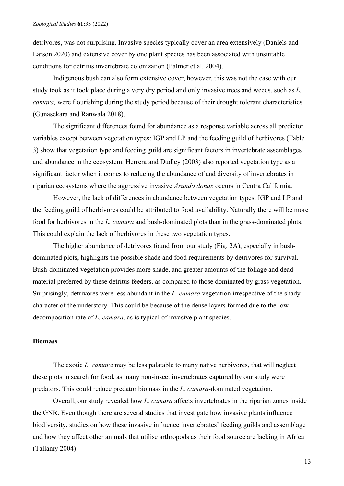detrivores, was not surprising. Invasive species typically cover an area extensively (Daniels and Larson 2020) and extensive cover by one plant species has been associated with unsuitable conditions for detritus invertebrate colonization (Palmer et al. 2004).

Indigenous bush can also form extensive cover, however, this was not the case with our study took as it took place during a very dry period and only invasive trees and weeds, such as *L. camara,* were flourishing during the study period because of their drought tolerant characteristics (Gunasekara and Ranwala 2018).

The significant differences found for abundance as a response variable across all predictor variables except between vegetation types: IGP and LP and the feeding guild of herbivores (Table 3) show that vegetation type and feeding guild are significant factors in invertebrate assemblages and abundance in the ecosystem. Herrera and Dudley (2003) also reported vegetation type as a significant factor when it comes to reducing the abundance of and diversity of invertebrates in riparian ecosystems where the aggressive invasive *Arundo donax* occurs in Centra California.

However, the lack of differences in abundance between vegetation types: IGP and LP and the feeding guild of herbivores could be attributed to food availability. Naturally there will be more food for herbivores in the *L. camara* and bush-dominated plots than in the grass-dominated plots. This could explain the lack of herbivores in these two vegetation types.

The higher abundance of detrivores found from our study (Fig. 2A), especially in bushdominated plots, highlights the possible shade and food requirements by detrivores for survival. Bush-dominated vegetation provides more shade, and greater amounts of the foliage and dead material preferred by these detritus feeders, as compared to those dominated by grass vegetation. Surprisingly, detrivores were less abundant in the *L. camara* vegetation irrespective of the shady character of the understory. This could be because of the dense layers formed due to the low decomposition rate of *L. camara,* as is typical of invasive plant species.

#### **Biomass**

The exotic *L. camara* may be less palatable to many native herbivores, that will neglect these plots in search for food, as many non-insect invertebrates captured by our study were predators. This could reduce predator biomass in the *L. camara*-dominated vegetation.

Overall, our study revealed how *L. camara* affects invertebrates in the riparian zones inside the GNR. Even though there are several studies that investigate how invasive plants influence biodiversity, studies on how these invasive influence invertebrates' feeding guilds and assemblage and how they affect other animals that utilise arthropods as their food source are lacking in Africa (Tallamy 2004).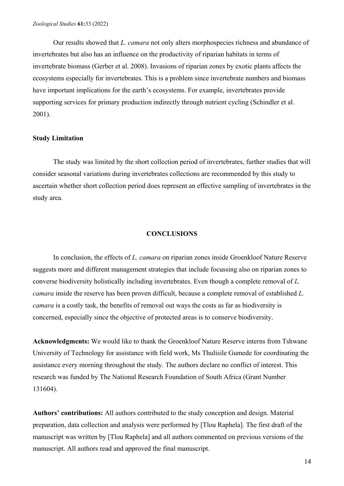Our results showed that *L. camara* not only alters morphospecies richness and abundance of invertebrates but also has an influence on the productivity of riparian habitats in terms of invertebrate biomass (Gerber et al. 2008). Invasions of riparian zones by exotic plants affects the ecosystems especially for invertebrates. This is a problem since invertebrate numbers and biomass have important implications for the earth's ecosystems. For example, invertebrates provide supporting services for primary production indirectly through nutrient cycling (Schindler et al. 2001).

## **Study Limitation**

The study was limited by the short collection period of invertebrates, further studies that will consider seasonal variations during invertebrates collections are recommended by this study to ascertain whether short collection period does represent an effective sampling of invertebrates in the study area.

## **CONCLUSIONS**

In conclusion, the effects of *L. camara* on riparian zones inside Groenkloof Nature Reserve suggests more and different management strategies that include focussing also on riparian zones to converse biodiversity holistically including invertebrates. Even though a complete removal of *L. camara* inside the reserve has been proven difficult, because a complete removal of established *L. camara* is a costly task, the benefits of removal out ways the costs as far as biodiversity is concerned, especially since the objective of protected areas is to conserve biodiversity.

**Acknowledgments:** We would like to thank the Groenkloof Nature Reserve interns from Tshwane University of Technology for assistance with field work, Ms Thulisile Gumede for coordinating the assistance every morning throughout the study. The authors declare no conflict of interest. This research was funded by The National Research Foundation of South Africa (Grant Number 131604).

**Authors' contributions:** All authors contributed to the study conception and design. Material preparation, data collection and analysis were performed by [Tlou Raphela]. The first draft of the manuscript was written by [Tlou Raphela] and all authors commented on previous versions of the manuscript. All authors read and approved the final manuscript.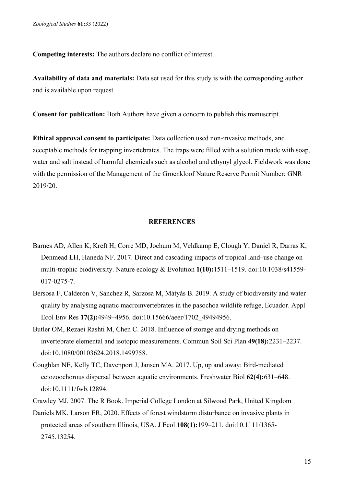**Competing interests:** The authors declare no conflict of interest.

**Availability of data and materials:** Data set used for this study is with the corresponding author and is available upon request

**Consent for publication:** Both Authors have given a concern to publish this manuscript.

**Ethical approval consent to participate:** Data collection used non-invasive methods, and acceptable methods for trapping invertebrates. The traps were filled with a solution made with soap, water and salt instead of harmful chemicals such as alcohol and ethynyl glycol. Fieldwork was done with the permission of the Management of the Groenkloof Nature Reserve Permit Number: GNR 2019/20.

## **REFERENCES**

- Barnes AD, Allen K, Kreft H, Corre MD, Jochum M, Veldkamp E, Clough Y, Daniel R, Darras K, Denmead LH, Haneda NF. 2017. Direct and cascading impacts of tropical land–use change on multi-trophic biodiversity. Nature ecology & Evolution **1(10):**1511–1519. doi:10.1038/s41559- 017-0275-7.
- Bersosa F, Calderón V, Sanchez R, Sarzosa M, Mátyás B. 2019. A study of biodiversity and water quality by analysing aquatic macroinvertebrates in the pasochoa wildlife refuge, Ecuador. Appl Ecol Env Res **17(2):**4949–4956. doi:10.15666/aeer/1702\_49494956.
- Butler OM, Rezaei Rashti M, Chen C. 2018. Influence of storage and drying methods on invertebrate elemental and isotopic measurements. Commun Soil Sci Plan **49(18):**2231–2237. doi:10.1080/00103624.2018.1499758.
- Coughlan NE, Kelly TC, Davenport J, Jansen MA. 2017. Up, up and away: Bird‐mediated ectozoochorous dispersal between aquatic environments. Freshwater Biol **62(4):**631–648. doi:10.1111/fwb.12894.
- Crawley MJ. 2007. The R Book. Imperial College London at Silwood Park, United Kingdom
- Daniels MK, Larson ER, 2020. Effects of forest windstorm disturbance on invasive plants in protected areas of southern Illinois, USA. J Ecol **108(1):**199–211. doi:10.1111/1365- 2745.13254.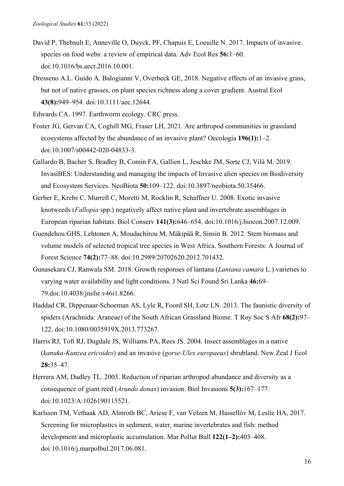- David P, Thebault E, Anneville O, Duyck, PF, Chapuis E, Loeuille N. 2017. Impacts of invasive species on food webs: a review of empirical data. Adv Ecol Res **56:**1–60. doi:10.1016/bs.aecr.2016.10.001.
- Dresseno A.L. Guido A. Balogianni V, Overbeck GE, 2018. Negative effects of an invasive grass, but not of native grasses, on plant species richness along a cover gradient. Austral Ecol **43(8):**949–954. doi:10.1111/aec.12644.

Edwards CA. 1997. Earthworm ecology. CRC press.

- Foster JG, Gervan CA, Coghill MG, Fraser LH, 2021. Are arthropod communities in grassland ecosystems affected by the abundance of an invasive plant? Oecologia **196(1):**1–2. doi:10.1007/s00442-020-04833-3.
- Gallardo B, Bacher S, Bradley B, Comín FA, Gallien L, Jeschke JM, Sorte CJ, Vilà M. 2019. InvasiBES: Understanding and managing the impacts of Invasive alien species on Biodiversity and Ecosystem Services. NeoBiota **50:**109–122. doi:10.3897/neobiota.50.35466.
- Gerber E, Krebs C, Murrell C, Moretti M, Rocklin R, Schaffner U. 2008. Exotic invasive knotweeds (*Fallopia* spp.) negatively affect native plant and invertebrate assemblages in European riparian habitats. Biol Conserv **141(3):**646–654. doi:10.1016/j.biocon.2007.12.009.
- Guendehou GHS, Lehtonen A, Moudachirou M, Mäkipää R, Sinsin B. 2012. Stem biomass and volume models of selected tropical tree species in West Africa. Southern Forests: A Journal of Forest Science **74(2):**77–88. doi:10.2989/20702620.2012.701432.
- Gunasekara CJ, Ranwala SM. 2018. Growth responses of lantana (*Lantana camara* L.) varieties to varying water availability and light conditions. J Natl Sci Found Sri Lanka **46:**69– 79.doi:10.4038/jnsfsr.v46i1.8266.
- Haddad CR, Dippenaar-Schoeman AS, Lyle R, Foord SH, Lotz LN. 2013. The faunistic diversity of spiders (Arachnida: Araneae) of the South African Grassland Biome. T Roy Soc S Afr **68(2):**97– 122. doi:10.1080/0035919X.2013.773267.
- Harris RJ, Toft RJ, Dugdale JS, Williams PA, Rees JS. 2004. Insect assemblages in a native (*kanuka-Kunzea ericoides*) and an invasive (*gorse-Ulex europaeus*) shrubland. New Zeal J Ecol **28:**35–47.
- Herrera AM, Dudley TL. 2003. Reduction of riparian arthropod abundance and diversity as a consequence of giant reed (*Arundo donax*) invasion. Biol Invasions **5(3):**167–177. doi:10.1023/A:1026190115521.
- Karlsson TM, Vethaak AD, Almroth BC, Ariese F, van Velzen M, Hassellöv M, Leslie HA, 2017. Screening for microplastics in sediment, water, marine invertebrates and fish: method development and microplastic accumulation. Mar Pollut Bull **122(1–2):**403–408. doi:10.1016/j.marpolbul.2017.06.081.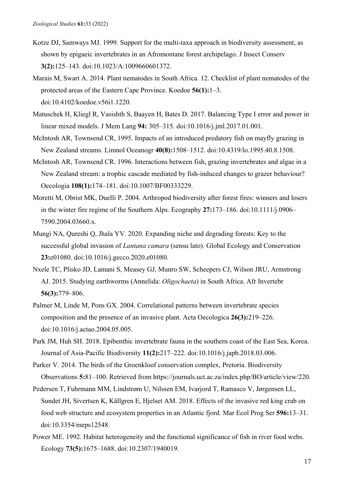- Kotze DJ, Samways MJ. 1999. Support for the multi-taxa approach in biodiversity assessment, as shown by epigaeic invertebrates in an Afromontane forest archipelago. J Insect Conserv **3(2):**125–143. doi:10.1023/A:1009660601372.
- Marais M, Swart A. 2014. Plant nematodes in South Africa. 12. Checklist of plant nematodes of the protected areas of the Eastern Cape Province. Koedoe **56(1):**1–3. doi:10.4102/koedoe.v56i1.1220.
- Matuschek H, Kliegl R, Vasishth S, Baayen H, Bates D. 2017. Balancing Type I error and power in linear mixed models. J Mem Lang **94:** 305–315. doi:10.1016/j.jml.2017.01.001.
- McIntosh AR, Townsend CR, 1995. Impacts of an introduced predatory fish on mayfly grazing in New Zealand streams. Limnol Oceanogr **40(8):**1508–1512. doi:10.4319/lo.1995.40.8.1508.
- McIntosh AR, Townsend CR. 1996. Interactions between fish, grazing invertebrates and algae in a New Zealand stream: a trophic cascade mediated by fish-induced changes to grazer behaviour? Oecologia **108(1):**174–181. doi:10.1007/BF00333229.
- Moretti M, Obrist MK, Duelli P. 2004. Arthropod biodiversity after forest fires: winners and losers in the winter fire regime of the Southern Alps. Ecography **27:**173–186. doi:10.1111/j.0906– 7590.2004.03660.x.
- Mungi NA, Qureshi Q, Jhala YV. 2020. Expanding niche and degrading forests: Key to the successful global invasion of *Lantana camara* (sensu lato). Global Ecology and Conservation **23:**e01080. doi:10.1016/j.gecco.2020.e01080.
- Nxele TC, Plisko JD, Lamani S, Measey GJ, Munro SW, Scheepers CJ, Wilson JRU, Armstrong AJ. 2015. Studying earthworms (Annelida: *Oligochaeta*) in South Africa. Afr Invertebr **56(3):**779–806.
- Palmer M, Linde M, Pons GX. 2004. Correlational patterns between invertebrate species composition and the presence of an invasive plant. Acta Oecologica **26(3):**219–226. doi:10.1016/j.actao.2004.05.005.
- Park JM, Huh SH. 2018. Epibenthic invertebrate fauna in the southern coast of the East Sea, Korea. Journal of Asia-Pacific Biodiversity **11(2):**217–222. doi:10.1016/j.japb.2018.03.006.
- Parker V. 2014. The birds of the Groenkloof conservation complex, Pretoria. Biodiversity Observations **5:**81–100. Retrieved from https://journals.uct.ac.za/index.php/BO/article/view/220.
- Pedersen T, Fuhrmann MM, Lindstrøm U, Nilssen EM, Ivarjord T, Ramasco V, Jørgensen LL, Sundet JH, Sivertsen K, Källgren E, Hjelset AM. 2018. Effects of the invasive red king crab on food web structure and ecosystem properties in an Atlantic fjord. Mar Ecol Prog Ser **596:**13–31. doi:10.3354/meps12548.
- Power ME. 1992. Habitat heterogeneity and the functional significance of fish in river food webs. Ecology **73(5):**1675–1688. doi:10.2307/1940019.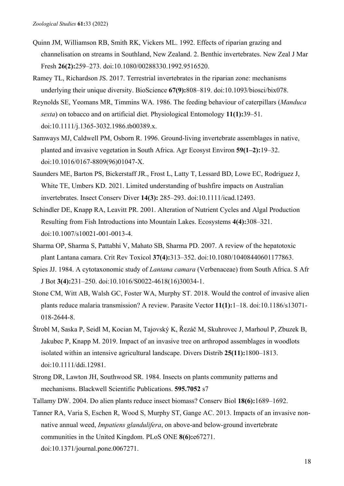- Quinn JM, Williamson RB, Smith RK, Vickers ML. 1992. Effects of riparian grazing and channelisation on streams in Southland, New Zealand. 2. Benthic invertebrates. New Zeal J Mar Fresh **26(2):**259–273. doi:10.1080/00288330.1992.9516520.
- Ramey TL, Richardson JS. 2017. Terrestrial invertebrates in the riparian zone: mechanisms underlying their unique diversity. BioScience **67(9):**808–819. doi:10.1093/biosci/bix078.
- Reynolds SE, Yeomans MR, Timmins WA. 1986. The feeding behaviour of caterpillars (*Manduca sexta*) on tobacco and on artificial diet. Physiological Entomology **11(1):**39–51. doi:10.1111/j.1365-3032.1986.tb00389.x.
- Samways MJ, Caldwell PM, Osborn R. 1996. Ground-living invertebrate assemblages in native, planted and invasive vegetation in South Africa. Agr Ecosyst Environ **59(1–2):**19–32. doi:10.1016/0167-8809(96)01047-X.
- Saunders ME, Barton PS, Bickerstaff JR., Frost L, Latty T, Lessard BD, Lowe EC, Rodriguez J, White TE, Umbers KD. 2021. Limited understanding of bushfire impacts on Australian invertebrates. Insect Conserv Diver **14(3):** 285–293. doi:10.1111/icad.12493.
- Schindler DE, Knapp RA, Leavitt PR. 2001. Alteration of Nutrient Cycles and Algal Production Resulting from Fish Introductions into Mountain Lakes. Ecosystems **4(4):**308–321. doi:10.1007/s10021-001-0013-4.
- Sharma OP, Sharma S, Pattabhi V, Mahato SB, Sharma PD. 2007. A review of the hepatotoxic plant Lantana camara. Crit Rev Toxicol **37(4):**313–352. doi:10.1080/10408440601177863.
- Spies JJ. 1984. A cytotaxonomic study of *Lantana camara* (Verbenaceae) from South Africa. S Afr J Bot **3(4):**231–250. doi:10.1016/S0022-4618(16)30034-1.
- Stone CM, Witt AB, Walsh GC, Foster WA, Murphy ST. 2018. Would the control of invasive alien plants reduce malaria transmission? A review. Parasite Vector **11(1):**1–18. doi:10.1186/s13071- 018-2644-8.
- Štrobl M, Saska P, Seidl M, Kocian M, Tajovský K, Řezáč M, Skuhrovec J, Marhoul P, Zbuzek B, Jakubec P, Knapp M. 2019. Impact of an invasive tree on arthropod assemblages in woodlots isolated within an intensive agricultural landscape. Divers Distrib **25(11):**1800–1813. doi:10.1111/ddi.12981.
- Strong DR, Lawton JH, Southwood SR. 1984. Insects on plants community patterns and mechanisms. Blackwell Scientific Publications. **595.7052** s7
- Tallamy DW. 2004. Do alien plants reduce insect biomass? Conserv Biol **18(6):**1689–1692.
- Tanner RA, Varia S, Eschen R, Wood S, Murphy ST, Gange AC. 2013. Impacts of an invasive nonnative annual weed, *Impatiens glandulifera*, on above-and below-ground invertebrate communities in the United Kingdom. PLoS ONE **8(6):**e67271. doi:10.1371/journal.pone.0067271.